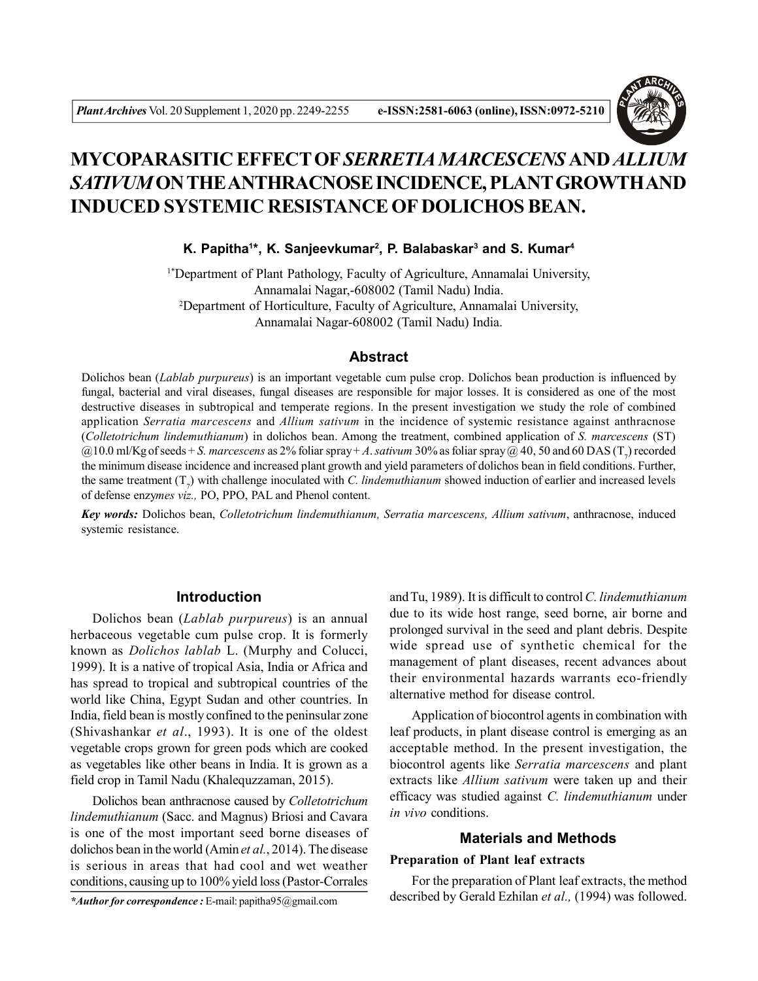

# **MYCOPARASITIC EFFECT OF***SERRETIAMARCESCENS* **AND** *ALLIUM SATIVUM* **ON THE ANTHRACNOSE INCIDENCE, PLANT GROWTH AND INDUCED SYSTEMIC RESISTANCE OF DOLICHOS BEAN.**

**K. Papitha<sup>1</sup> \*, K. Sanjeevkumar<sup>2</sup> , P. Balabaskar<sup>3</sup> and S. Kumar<sup>4</sup>**

1\*Department of Plant Pathology, Faculty of Agriculture, Annamalai University, Annamalai Nagar,-608002 (Tamil Nadu) India. <sup>2</sup>Department of Horticulture, Faculty of Agriculture, Annamalai University, Annamalai Nagar-608002 (Tamil Nadu) India.

### **Abstract**

Dolichos bean (*Lablab purpureus*) is an important vegetable cum pulse crop. Dolichos bean production is influenced by fungal, bacterial and viral diseases, fungal diseases are responsible for major losses. It is considered as one of the most destructive diseases in subtropical and temperate regions. In the present investigation we study the role of combined application *Serratia marcescens* and *Allium sativum* in the incidence of systemic resistance against anthracnose (*Colletotrichum lindemuthianum*) in dolichos bean. Among the treatment, combined application of *S. marcescens* (ST)  $@10.0$  ml/Kg of seeds + *S. marcescens* as 2% foliar spray + *A. sativum* 30% as foliar spray  $@$  40, 50 and 60 DAS (T<sub>7</sub>) recorded the minimum disease incidence and increased plant growth and yield parameters of dolichos bean in field conditions. Further, the same treatment  $(T<sub>7</sub>)$  with challenge inoculated with *C. lindemuthianum* showed induction of earlier and increased levels of defense enzy*mes viz.,* PO, PPO, PAL and Phenol content.

*Key words:* Dolichos bean, *Colletotrichum lindemuthianum, Serratia marcescens, Allium sativum*, anthracnose, induced systemic resistance.

#### **Introduction**

Dolichos bean (*Lablab purpureus*) is an annual herbaceous vegetable cum pulse crop. It is formerly known as *Dolichos lablab* L. (Murphy and Colucci, 1999). It is a native of tropical Asia, India or Africa and has spread to tropical and subtropical countries of the world like China, Egypt Sudan and other countries. In India, field bean is mostly confined to the peninsular zone (Shivashankar *et al*., 1993). It is one of the oldest vegetable crops grown for green pods which are cooked as vegetables like other beans in India. It is grown as a field crop in Tamil Nadu (Khalequzzaman, 2015).

Dolichos bean anthracnose caused by *Colletotrichum lindemuthianum* (Sacc. and Magnus) Briosi and Cavara is one of the most important seed borne diseases of dolichos bean in the world (Amin *et al.*, 2014). The disease is serious in areas that had cool and wet weather conditions, causing up to 100% yield loss (Pastor-Corrales

and Tu, 1989). It is difficult to control *C. lindemuthianum* due to its wide host range, seed borne, air borne and prolonged survival in the seed and plant debris. Despite wide spread use of synthetic chemical for the management of plant diseases, recent advances about their environmental hazards warrants eco-friendly alternative method for disease control.

Application of biocontrol agents in combination with leaf products, in plant disease control is emerging as an acceptable method. In the present investigation, the biocontrol agents like *Serratia marcescens* and plant extracts like *Allium sativum* were taken up and their efficacy was studied against *C. lindemuthianum* under *in vivo* conditions.

# **Materials and Methods**

#### **Preparation of Plant leaf extracts**

For the preparation of Plant leaf extracts, the method described by Gerald Ezhilan *et al.,* (1994) was followed.

*\*Author for correspondence :* E-mail: papitha95@gmail.com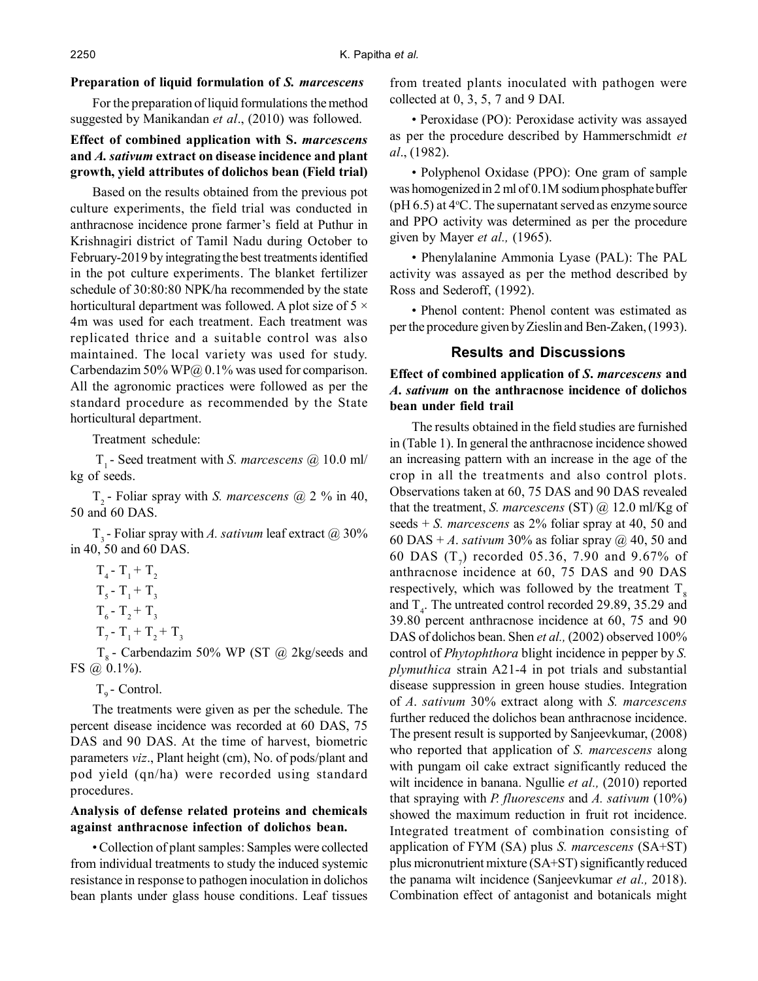#### **Preparation of liquid formulation of** *S. marcescens*

For the preparation of liquid formulations the method suggested by Manikandan *et al*., (2010) was followed.

## **Effect of combined application with S.** *marcescens* **and** *A. sativum* **extract on disease incidence and plant growth, yield attributes of dolichos bean (Field trial)**

Based on the results obtained from the previous pot culture experiments, the field trial was conducted in anthracnose incidence prone farmer's field at Puthur in Krishnagiri district of Tamil Nadu during October to February-2019 by integrating the best treatments identified in the pot culture experiments. The blanket fertilizer schedule of 30:80:80 NPK/ha recommended by the state horticultural department was followed. A plot size of 5  $\times$ 4m was used for each treatment. Each treatment was replicated thrice and a suitable control was also maintained. The local variety was used for study. Carbendazim 50% WP@  $0.1\%$  was used for comparison. All the agronomic practices were followed as per the standard procedure as recommended by the State horticultural department.

Treatment schedule:

 T1 - Seed treatment with *S. marcescens* @ 10.0 ml/ kg of seeds.

T2 - Foliar spray with *S. marcescens* @ 2 % in 40, 50 and 60 DAS.

T3 - Foliar spray with *A. sativum* leaf extract @ 30% in 40, 50 and 60 DAS.

$$
T_4 - T_1 + T_2
$$
  
\n
$$
T_5 - T_1 + T_3
$$
  
\n
$$
T_6 - T_2 + T_3
$$
  
\n
$$
T_7 - T_1 + T_2 + T_3
$$
  
\n
$$
T_8 - C_2
$$

 $T<sub>8</sub>$  - Carbendazim 50% WP (ST @ 2kg/seeds and FS  $\omega(0.1\%)$ .

 $T_{0}$  - Control.

The treatments were given as per the schedule. The percent disease incidence was recorded at 60 DAS, 75 DAS and 90 DAS. At the time of harvest, biometric parameters *viz*., Plant height (cm), No. of pods/plant and pod yield (qn/ha) were recorded using standard procedures.

### **Analysis of defense related proteins and chemicals against anthracnose infection of dolichos bean.**

• Collection of plant samples: Samples were collected from individual treatments to study the induced systemic resistance in response to pathogen inoculation in dolichos bean plants under glass house conditions. Leaf tissues from treated plants inoculated with pathogen were collected at 0, 3, 5, 7 and 9 DAI.

• Peroxidase (PO): Peroxidase activity was assayed as per the procedure described by Hammerschmidt *et al*., (1982).

• Polyphenol Oxidase (PPO): One gram of sample was homogenized in 2 ml of 0.1M sodium phosphate buffer (pH  $6.5$ ) at  $4^{\circ}$ C. The supernatant served as enzyme source and PPO activity was determined as per the procedure given by Mayer *et al.,* (1965).

• Phenylalanine Ammonia Lyase (PAL): The PAL activity was assayed as per the method described by Ross and Sederoff, (1992).

• Phenol content: Phenol content was estimated as per the procedure given by Zieslin and Ben-Zaken, (1993).

### **Results and Discussions**

# **Effect of combined application of** *S***.** *marcescens* **and** *A***.** *sativum* **on the anthracnose incidence of dolichos bean under field trail**

The results obtained in the field studies are furnished in (Table 1). In general the anthracnose incidence showed an increasing pattern with an increase in the age of the crop in all the treatments and also control plots. Observations taken at 60, 75 DAS and 90 DAS revealed that the treatment, *S. marcescens* (ST) @ 12.0 ml/Kg of seeds + *S. marcescens* as 2% foliar spray at 40, 50 and 60 DAS +  $\Lambda$ . *sativum* 30% as foliar spray  $\omega$  40, 50 and 60 DAS  $(T_7)$  recorded 05.36, 7.90 and 9.67% of anthracnose incidence at 60, 75 DAS and 90 DAS respectively, which was followed by the treatment  $T<sub>s</sub>$ and  $T<sub>4</sub>$ . The untreated control recorded 29.89, 35.29 and 39.80 percent anthracnose incidence at 60, 75 and 90 DAS of dolichos bean. Shen *et al.,* (2002) observed 100% control of *Phytophthora* blight incidence in pepper by *S. plymuthica* strain A21-4 in pot trials and substantial disease suppression in green house studies. Integration of *A*. *sativum* 30% extract along with *S. marcescens* further reduced the dolichos bean anthracnose incidence. The present result is supported by Sanjeevkumar, (2008) who reported that application of *S. marcescens* along with pungam oil cake extract significantly reduced the wilt incidence in banana. Ngullie *et al.,* (2010) reported that spraying with *P. fluorescens* and *A. sativum* (10%) showed the maximum reduction in fruit rot incidence. Integrated treatment of combination consisting of application of FYM (SA) plus *S. marcescens* (SA+ST) plus micronutrient mixture (SA+ST) significantly reduced the panama wilt incidence (Sanjeevkumar *et al.,* 2018). Combination effect of antagonist and botanicals might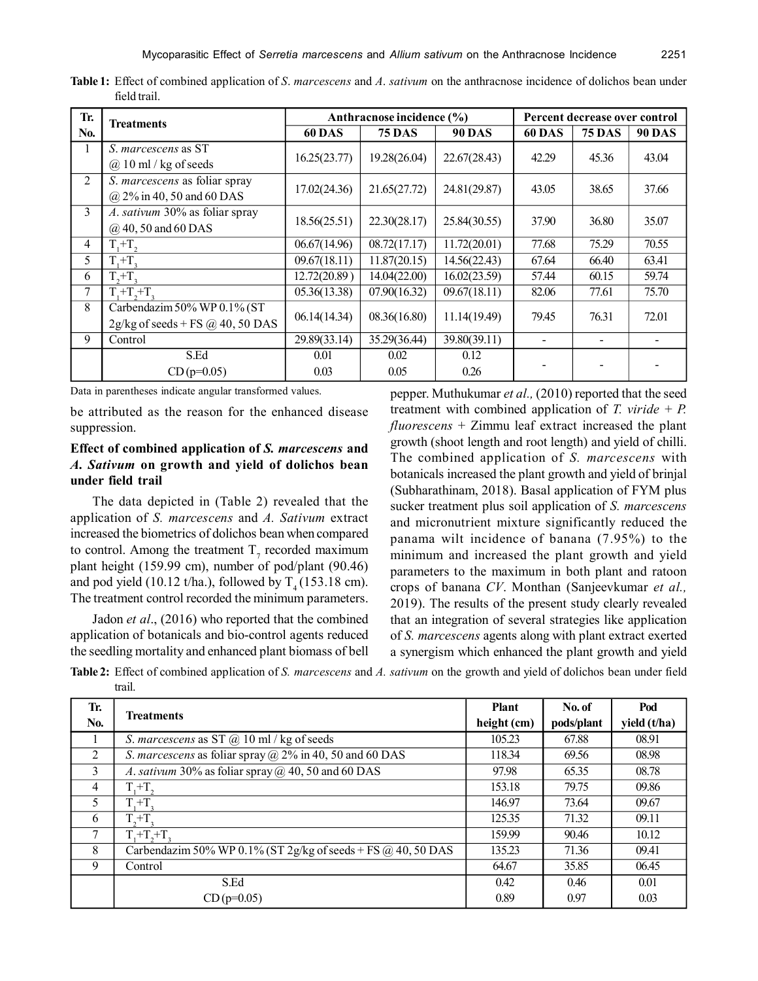| Tr. | <b>Treatments</b>                                                 | Anthracnose incidence (%) |               |               | Percent decrease over control |               |               |  |
|-----|-------------------------------------------------------------------|---------------------------|---------------|---------------|-------------------------------|---------------|---------------|--|
| No. |                                                                   | <b>60 DAS</b>             | <b>75 DAS</b> | <b>90 DAS</b> | <b>60 DAS</b>                 | <b>75 DAS</b> | <b>90 DAS</b> |  |
| 1   | S. marcescens as ST<br>$(a)$ 10 ml / kg of seeds                  | 16.25(23.77)              | 19.28(26.04)  | 22.67(28.43)  | 42.29                         | 45.36         | 43.04         |  |
| 2   | S. marcescens as foliar spray<br>@ 2% in 40, 50 and 60 DAS        | 17.02(24.36)              | 21.65(27.72)  | 24.81(29.87)  | 43.05                         | 38.65         | 37.66         |  |
| 3   | A. sativum 30% as foliar spray<br>$(a)$ 40, 50 and 60 DAS         | 18.56(25.51)              | 22.30(28.17)  | 25.84(30.55)  | 37.90                         | 36.80         | 35.07         |  |
| 4   | $T_1 + T_2$                                                       | 06.67(14.96)              | 08.72(17.17)  | 11.72(20.01)  | 77.68                         | 75.29         | 70.55         |  |
| 5   | $T + T$ .                                                         | 09.67(18.11)              | 11.87(20.15)  | 14.56(22.43)  | 67.64                         | 66.40         | 63.41         |  |
| 6   | $T_{2}+T_{2}$                                                     | 12.72(20.89)              | 14.04(22.00)  | 16.02(23.59)  | 57.44                         | 60.15         | 59.74         |  |
| 7   | $T_1 + T_2 + T_3$                                                 | 05.36(13.38)              | 07.90(16.32)  | 09.67(18.11)  | 82.06                         | 77.61         | 75.70         |  |
| 8   | Carbendazim 50% WP 0.1% (ST<br>$2g/kg$ of seeds + FS @ 40, 50 DAS | 06.14(14.34)              | 08.36(16.80)  | 11.14(19.49)  | 79.45                         | 76.31         | 72.01         |  |
| 9   | Control                                                           | 29.89(33.14)              | 35.29(36.44)  | 39.80(39.11)  |                               |               |               |  |
|     | S.Ed<br>$CD(p=0.05)$                                              | 0.01<br>0.03              | 0.02<br>0.05  | 0.12<br>0.26  |                               |               |               |  |

**Table 1:** Effect of combined application of *S*. *marcescens* and *A*. *sativum* on the anthracnose incidence of dolichos bean under field trail.

Data in parentheses indicate angular transformed values.

be attributed as the reason for the enhanced disease suppression.

## **Effect of combined application of** *S. marcescens* **and** *A. Sativum* **on growth and yield of dolichos bean under field trail**

The data depicted in (Table 2) revealed that the application of *S. marcescens* and *A. Sativum* extract increased the biometrics of dolichos bean when compared to control. Among the treatment  $T_7$  recorded maximum plant height (159.99 cm), number of pod/plant (90.46) and pod yield (10.12 t/ha.), followed by  $T<sub>4</sub>$  (153.18 cm). The treatment control recorded the minimum parameters.

Jadon *et al*., (2016) who reported that the combined application of botanicals and bio-control agents reduced the seedling mortality and enhanced plant biomass of bell pepper. Muthukumar *et al.,* (2010) reported that the seed treatment with combined application of *T. viride* + *P. fluorescens* + Zimmu leaf extract increased the plant growth (shoot length and root length) and yield of chilli. The combined application of *S. marcescens* with botanicals increased the plant growth and yield of brinjal (Subharathinam, 2018). Basal application of FYM plus sucker treatment plus soil application of *S. marcescens* and micronutrient mixture significantly reduced the panama wilt incidence of banana (7.95%) to the minimum and increased the plant growth and yield parameters to the maximum in both plant and ratoon crops of banana *CV*. Monthan (Sanjeevkumar *et al.,* 2019). The results of the present study clearly revealed that an integration of several strategies like application of *S. marcescens* agents along with plant extract exerted a synergism which enhanced the plant growth and yield

**Table 2:** Effect of combined application of *S. marcescens* and *A. sativum* on the growth and yield of dolichos bean under field trail.

| Tr. | <b>Treatments</b>                                                     | <b>Plant</b><br>height (cm) | No. of     | Pod          |
|-----|-----------------------------------------------------------------------|-----------------------------|------------|--------------|
| No. |                                                                       |                             | pods/plant | yield (t/ha) |
|     | S. marcescens as ST $\omega$ 10 ml / kg of seeds                      | 105.23                      | 67.88      | 08.91        |
| 2   | <i>S. marcescens</i> as foliar spray $\omega$ 2% in 40, 50 and 60 DAS | 118.34                      | 69.56      | 08.98        |
| 3   | A. sativum 30% as foliar spray $\omega$ , 40, 50 and 60 DAS           | 97.98                       | 65.35      | 08.78        |
| 4   | $T,+T$                                                                | 153.18                      | 79.75      | 09.86        |
| 5   | $T + T$ .                                                             | 146.97                      | 73.64      | 09.67        |
| 6   | $T_{2}+T_{2}$                                                         | 125.35                      | 71.32      | 09.11        |
| 7   | $T + T + T$                                                           | 159.99                      | 90.46      | 10.12        |
| 8   | Carbendazim 50% WP 0.1% (ST 2g/kg of seeds + FS $@$ 40, 50 DAS        | 135.23                      | 71.36      | 09.41        |
| 9   | Control                                                               | 64.67                       | 35.85      | 06.45        |
|     | S.Ed                                                                  | 0.42                        | 0.46       | 0.01         |
|     | $CD(p=0.05)$                                                          | 0.89                        | 0.97       | 0.03         |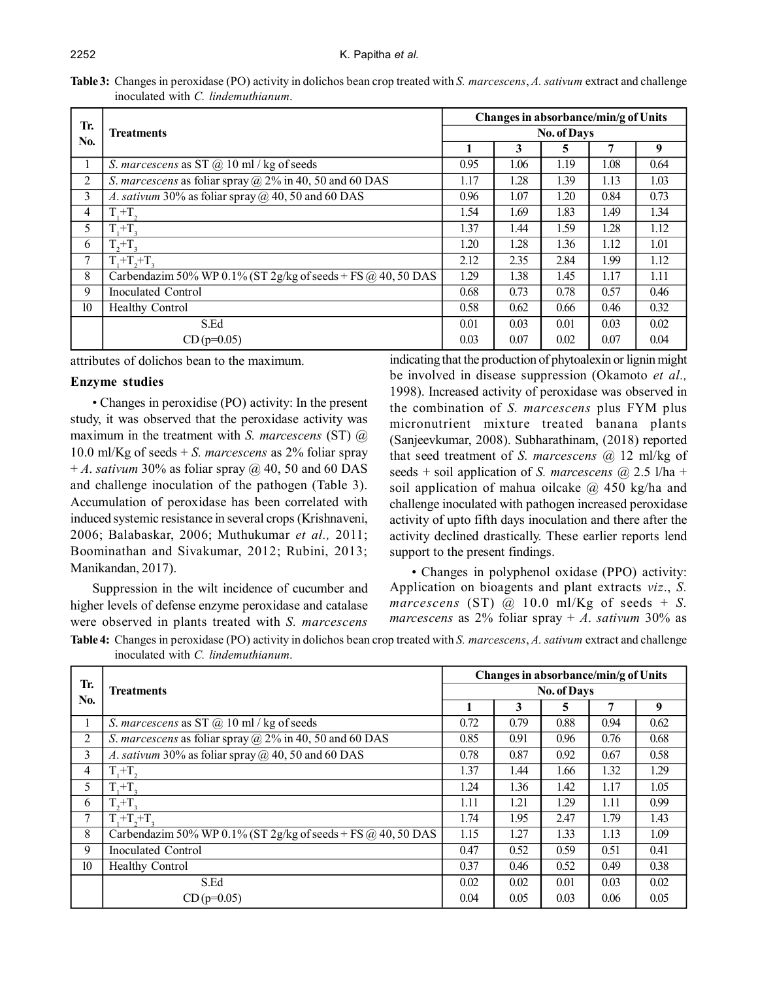|                                    | Table 3: Changes in peroxidase (PO) activity in dolichos bean crop treated with S. marcescens, A. sativum extract and challenge |
|------------------------------------|---------------------------------------------------------------------------------------------------------------------------------|
| inoculated with C. lindemuthianum. |                                                                                                                                 |

|                  |                                                                       |                    | Changes in absorbance/min/g of Units |      |      |      |  |  |
|------------------|-----------------------------------------------------------------------|--------------------|--------------------------------------|------|------|------|--|--|
| Tr.<br>No.       | Treatments                                                            | <b>No. of Days</b> |                                      |      |      |      |  |  |
|                  |                                                                       |                    | 3                                    | 5    | 7    | 9    |  |  |
| л.               | S. marcescens as ST $\omega$ 10 ml / kg of seeds                      | 0.95               | 1.06                                 | 1.19 | 1.08 | 0.64 |  |  |
| 2                | <i>S. marcescens</i> as foliar spray $\omega$ 2% in 40, 50 and 60 DAS | 1.17               | 1.28                                 | 1.39 | 1.13 | 1.03 |  |  |
| 3                | A. sativum 30% as foliar spray $(a)$ 40, 50 and 60 DAS                | 0.96               | 1.07                                 | 1.20 | 0.84 | 0.73 |  |  |
| 4                | $T + T$ .                                                             | 1.54               | 1.69                                 | 1.83 | 1.49 | 1.34 |  |  |
| 5                | $T + T$ .                                                             | 1.37               | 1.44                                 | 1.59 | 1.28 | 1.12 |  |  |
| 6                | $T, +T,$                                                              | 1.20               | 1.28                                 | 1.36 | 1.12 | 1.01 |  |  |
| 7                | $T + T + T$                                                           | 2.12               | 2.35                                 | 2.84 | 1.99 | 1.12 |  |  |
| 8                | Carbendazim 50% WP 0.1% (ST 2g/kg of seeds + FS $(2, 40, 50$ DAS      | 1.29               | 1.38                                 | 1.45 | 1.17 | 1.11 |  |  |
| 9                | Inoculated Control                                                    | 0.68               | 0.73                                 | 0.78 | 0.57 | 0.46 |  |  |
| 10 <sup>10</sup> | <b>Healthy Control</b>                                                | 0.58               | 0.62                                 | 0.66 | 0.46 | 0.32 |  |  |
|                  | S.Ed                                                                  | 0.01               | 0.03                                 | 0.01 | 0.03 | 0.02 |  |  |
|                  | $CD(p=0.05)$                                                          | 0.03               | 0.07                                 | 0.02 | 0.07 | 0.04 |  |  |

attributes of dolichos bean to the maximum.

#### **Enzyme studies**

• Changes in peroxidise (PO) activity: In the present study, it was observed that the peroxidase activity was maximum in the treatment with *S. marcescens* (ST) @ 10.0 ml/Kg of seeds + *S. marcescens* as 2% foliar spray  $+A$ . *sativum* 30% as foliar spray  $\omega$  40, 50 and 60 DAS and challenge inoculation of the pathogen (Table 3). Accumulation of peroxidase has been correlated with induced systemic resistance in several crops (Krishnaveni, 2006; Balabaskar, 2006; Muthukumar *et al.,* 2011; Boominathan and Sivakumar, 2012; Rubini, 2013; Manikandan, 2017).

Suppression in the wilt incidence of cucumber and higher levels of defense enzyme peroxidase and catalase were observed in plants treated with *S. marcescens* indicating that the production of phytoalexin or lignin might be involved in disease suppression (Okamoto *et al.,* 1998). Increased activity of peroxidase was observed in the combination of *S. marcescens* plus FYM plus micronutrient mixture treated banana plants (Sanjeevkumar, 2008). Subharathinam, (2018) reported that seed treatment of *S. marcescens* @ 12 ml/kg of seeds + soil application of *S. marcescens* @ 2.5 l/ha + soil application of mahua oilcake  $\omega$  450 kg/ha and challenge inoculated with pathogen increased peroxidase activity of upto fifth days inoculation and there after the activity declined drastically. These earlier reports lend support to the present findings.

• Changes in polyphenol oxidase (PPO) activity: Application on bioagents and plant extracts *viz*., *S. marcescens* (ST)  $\omega$  10.0 ml/Kg of seeds + *S*. *marcescens* as  $2\%$  foliar spray + *A*. *sativum*  $30\%$  as

**Table 4:** Changes in peroxidase (PO) activity in dolichos bean crop treated with *S. marcescens*, *A. sativum* extract and challenge inoculated with *C. lindemuthianum*.

|                  |                                                                     |                    | Changes in absorbance/min/g of Units |      |      |      |  |  |
|------------------|---------------------------------------------------------------------|--------------------|--------------------------------------|------|------|------|--|--|
| Tr.              | <b>Treatments</b>                                                   | <b>No. of Days</b> |                                      |      |      |      |  |  |
| No.              |                                                                     |                    | 3                                    | 5    | 7    | 9    |  |  |
| $\mathbf{I}$     | S. marcescens as ST $\omega$ 10 ml / kg of seeds                    | 0.72               | 0.79                                 | 0.88 | 0.94 | 0.62 |  |  |
| 2                | S. marcescens as foliar spray $\omega$ 2% in 40, 50 and 60 DAS      | 0.85               | 0.91                                 | 0.96 | 0.76 | 0.68 |  |  |
| 3                | A. sativum 30% as foliar spray $(a)$ 40, 50 and 60 DAS              | 0.78               | 0.87                                 | 0.92 | 0.67 | 0.58 |  |  |
| 4                | $T+T$                                                               | 1.37               | 1.44                                 | 1.66 | 1.32 | 1.29 |  |  |
| 5                | $T+T$                                                               | 1.24               | 1.36                                 | 1.42 | 1.17 | 1.05 |  |  |
| 6                | $T, +T,$                                                            | 1.11               | 1.21                                 | 1.29 | 1.11 | 0.99 |  |  |
| 7                | $T_{\cdot}+T_{\cdot}+T_{\cdot}$                                     | 1.74               | 1.95                                 | 2.47 | 1.79 | 1.43 |  |  |
| 8                | Carbendazim 50% WP 0.1% (ST 2g/kg of seeds + FS $\omega$ 40, 50 DAS | 1.15               | 1.27                                 | 1.33 | 1.13 | 1.09 |  |  |
| 9                | <b>Inoculated Control</b>                                           | 0.47               | 0.52                                 | 0.59 | 0.51 | 0.41 |  |  |
| 10 <sup>10</sup> | <b>Healthy Control</b>                                              | 0.37               | 0.46                                 | 0.52 | 0.49 | 0.38 |  |  |
|                  | S.Ed                                                                | 0.02               | 0.02                                 | 0.01 | 0.03 | 0.02 |  |  |
|                  | $CD(p=0.05)$                                                        | 0.04               | 0.05                                 | 0.03 | 0.06 | 0.05 |  |  |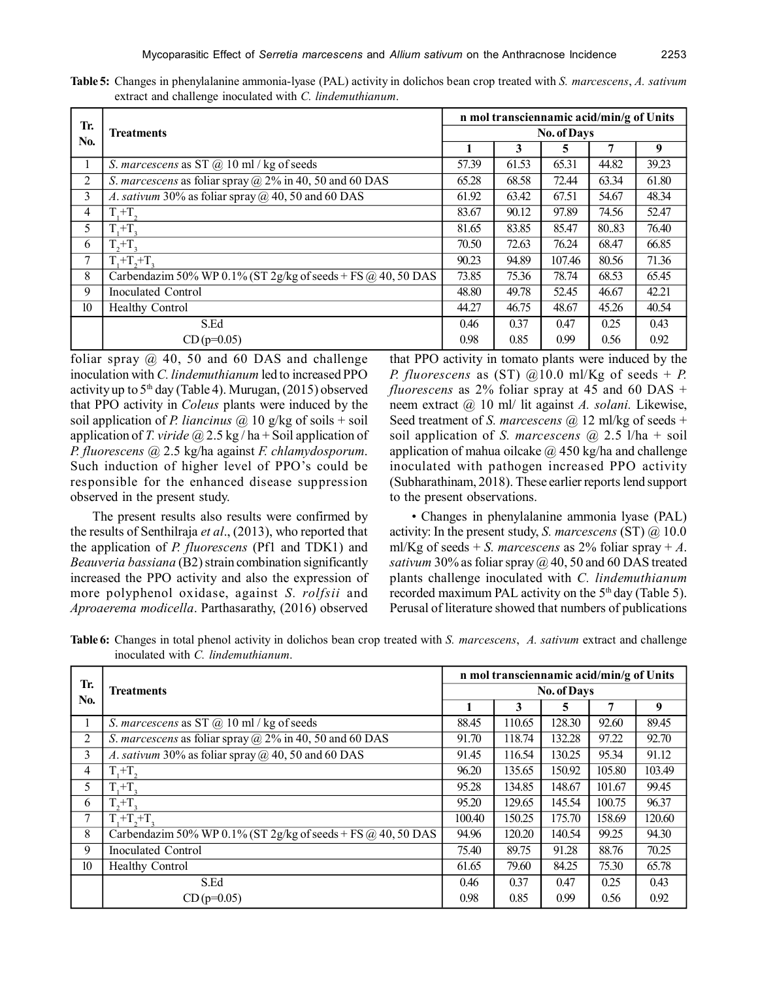| Table 5: Changes in phenylalanine ammonia-lyase (PAL) activity in dolichos bean crop treated with S. marcescens, A. sativum |  |  |  |
|-----------------------------------------------------------------------------------------------------------------------------|--|--|--|
| extract and challenge inoculated with C. lindemuthianum.                                                                    |  |  |  |

|                  |                                                                       | n mol transciennamic acid/min/g of Units |       |        |       |       |  |
|------------------|-----------------------------------------------------------------------|------------------------------------------|-------|--------|-------|-------|--|
| Tr.<br>No.       | Treatments                                                            | <b>No. of Days</b>                       |       |        |       |       |  |
|                  |                                                                       |                                          | 3     | 5      | 7     | 9     |  |
| -1               | S. marcescens as ST $\omega$ 10 ml / kg of seeds                      | 57.39                                    | 61.53 | 65.31  | 44.82 | 39.23 |  |
| 2                | <i>S. marcescens</i> as foliar spray $\omega$ 2% in 40, 50 and 60 DAS | 65.28                                    | 68.58 | 72.44  | 63.34 | 61.80 |  |
| 3                | A. sativum 30% as foliar spray $(a)$ 40, 50 and 60 DAS                | 61.92                                    | 63.42 | 67.51  | 54.67 | 48.34 |  |
| 4                | $T,+T$                                                                | 83.67                                    | 90.12 | 97.89  | 74.56 | 52.47 |  |
| 5                | $T,+T$                                                                | 81.65                                    | 83.85 | 85.47  | 80.83 | 76.40 |  |
| 6                | $T, +T,$                                                              | 70.50                                    | 72.63 | 76.24  | 68.47 | 66.85 |  |
| 7                | $T_1 + T_2 + T_3$                                                     | 90.23                                    | 94.89 | 107.46 | 80.56 | 71.36 |  |
| 8                | Carbendazim 50% WP 0.1% (ST 2g/kg of seeds + FS $\omega$ 40, 50 DAS   | 73.85                                    | 75.36 | 78.74  | 68.53 | 65.45 |  |
| 9                | Inoculated Control                                                    | 48.80                                    | 49.78 | 52.45  | 46.67 | 42.21 |  |
| 10 <sup>10</sup> | <b>Healthy Control</b>                                                | 44.27                                    | 46.75 | 48.67  | 45.26 | 40.54 |  |
|                  | S.Ed                                                                  | 0.46                                     | 0.37  | 0.47   | 0.25  | 0.43  |  |
|                  | $CD(p=0.05)$                                                          | 0.98                                     | 0.85  | 0.99   | 0.56  | 0.92  |  |

foliar spray  $\omega$  40, 50 and 60 DAS and challenge inoculation with *C. lindemuthianum* led to increased PPO activity up to  $5<sup>th</sup>$  day (Table 4). Murugan, (2015) observed that PPO activity in *Coleus* plants were induced by the soil application of *P. liancinus*  $\omega$  10 g/kg of soils + soil application of *T. viride* @ 2.5 kg / ha + Soil application of *P. fluorescens* @ 2.5 kg/ha against *F. chlamydosporum*. Such induction of higher level of PPO's could be responsible for the enhanced disease suppression observed in the present study.

The present results also results were confirmed by the results of Senthilraja *et al*., (2013), who reported that the application of *P. fluorescens* (Pf1 and TDK1) and *Beauveria bassiana* (B2) strain combination significantly increased the PPO activity and also the expression of more polyphenol oxidase, against *S. rolfsii* and *Aproaerema modicella*. Parthasarathy, (2016) observed

that PPO activity in tomato plants were induced by the *P. fluorescens* as (ST)  $@10.0$  ml/Kg of seeds + *P. fluorescens* as 2% foliar spray at 45 and 60 DAS + neem extract @ 10 ml/ lit against *A. solani.* Likewise, Seed treatment of *S. marcescens* @ 12 ml/kg of seeds + soil application of *S. marcescens* @ 2.5 l/ha + soil application of mahua oilcake  $\omega$  450 kg/ha and challenge inoculated with pathogen increased PPO activity (Subharathinam, 2018). These earlier reports lend support to the present observations.

• Changes in phenylalanine ammonia lyase (PAL) activity: In the present study, *S. marcescens* (ST) @ 10.0 ml/Kg of seeds  $+ S$ . *marcescens* as 2% foliar spray  $+ A$ . *sativum* 30% as foliar spray  $\omega$  40, 50 and 60 DAS treated plants challenge inoculated with *C. lindemuthianum* recorded maximum PAL activity on the 5<sup>th</sup> day (Table 5). Perusal of literature showed that numbers of publications

**Table 6:** Changes in total phenol activity in dolichos bean crop treated with *S. marcescens*, *A. sativum* extract and challenge inoculated with *C. lindemuthianum*.

|                  |                                                                     |                    | n mol transciennamic acid/min/g of Units |        |        |        |  |  |
|------------------|---------------------------------------------------------------------|--------------------|------------------------------------------|--------|--------|--------|--|--|
| Tr.              | <b>Treatments</b>                                                   | <b>No. of Days</b> |                                          |        |        |        |  |  |
| No.              |                                                                     |                    | 3                                        | 5      | 7      | 9      |  |  |
| л.               | S. marcescens as ST $\omega$ 10 ml / kg of seeds                    | 88.45              | 110.65                                   | 128.30 | 92.60  | 89.45  |  |  |
| 2                | S. marcescens as foliar spray $(a)$ 2% in 40, 50 and 60 DAS         | 91.70              | 118.74                                   | 132.28 | 97.22  | 92.70  |  |  |
| 3                | A. sativum 30% as foliar spray $(a)$ 40, 50 and 60 DAS              | 91.45              | 116.54                                   | 130.25 | 95.34  | 91.12  |  |  |
| 4                | $T,+T$                                                              | 96.20              | 135.65                                   | 150.92 | 105.80 | 103.49 |  |  |
| 5                | $T + T$                                                             | 95.28              | 134.85                                   | 148.67 | 101.67 | 99.45  |  |  |
| 6                | $T_{2}+T_{3}$                                                       | 95.20              | 129.65                                   | 145.54 | 100.75 | 96.37  |  |  |
| 7                | $T + T + T$                                                         | 100.40             | 150.25                                   | 175.70 | 158.69 | 120.60 |  |  |
| 8                | Carbendazim 50% WP 0.1% (ST 2g/kg of seeds + FS $\omega$ 40, 50 DAS | 94.96              | 120.20                                   | 140.54 | 99.25  | 94.30  |  |  |
| 9                | <b>Inoculated Control</b>                                           | 75.40              | 89.75                                    | 91.28  | 88.76  | 70.25  |  |  |
| 10 <sup>10</sup> | <b>Healthy Control</b>                                              | 61.65              | 79.60                                    | 84.25  | 75.30  | 65.78  |  |  |
|                  | S.Ed                                                                | 0.46               | 0.37                                     | 0.47   | 0.25   | 0.43   |  |  |
|                  | $CD(p=0.05)$                                                        | 0.98               | 0.85                                     | 0.99   | 0.56   | 0.92   |  |  |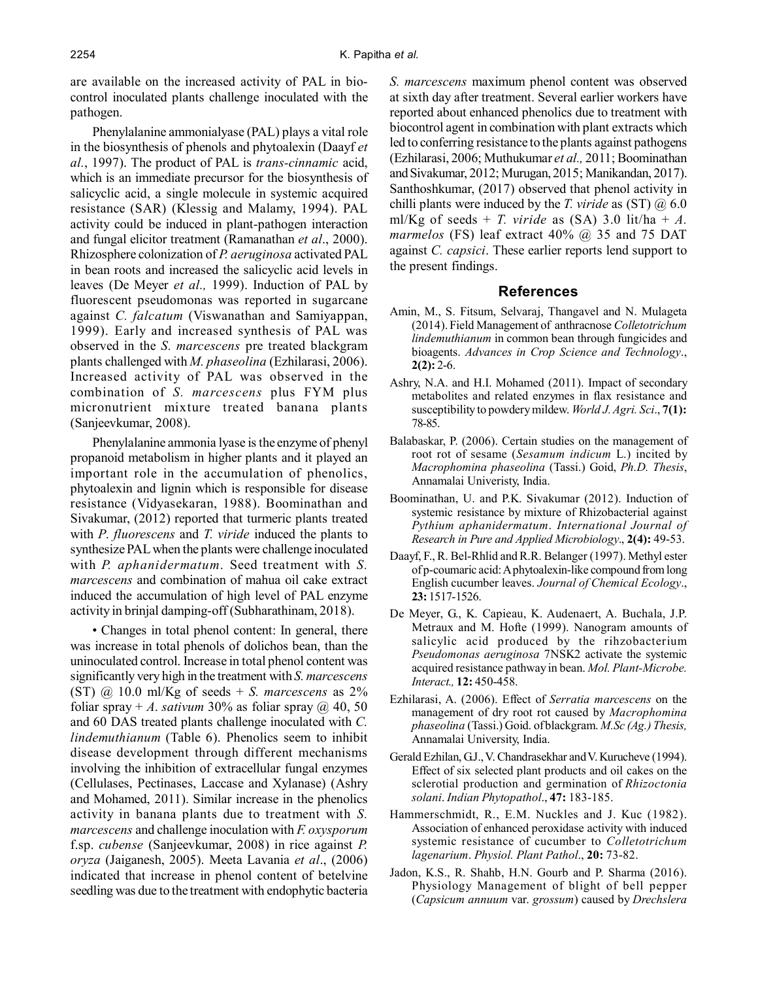are available on the increased activity of PAL in biocontrol inoculated plants challenge inoculated with the pathogen.

Phenylalanine ammonialyase (PAL) plays a vital role in the biosynthesis of phenols and phytoalexin (Daayf *et al.*, 1997). The product of PAL is *trans-cinnamic* acid, which is an immediate precursor for the biosynthesis of salicyclic acid, a single molecule in systemic acquired resistance (SAR) (Klessig and Malamy, 1994). PAL activity could be induced in plant-pathogen interaction and fungal elicitor treatment (Ramanathan *et al*., 2000). Rhizosphere colonization of *P. aeruginosa* activated PAL in bean roots and increased the salicyclic acid levels in leaves (De Meyer *et al.,* 1999). Induction of PAL by fluorescent pseudomonas was reported in sugarcane against *C. falcatum* (Viswanathan and Samiyappan, 1999). Early and increased synthesis of PAL was observed in the *S. marcescens* pre treated blackgram plants challenged with *M. phaseolina* (Ezhilarasi, 2006). Increased activity of PAL was observed in the combination of *S. marcescens* plus FYM plus micronutrient mixture treated banana plants (Sanjeevkumar, 2008).

Phenylalanine ammonia lyase is the enzyme of phenyl propanoid metabolism in higher plants and it played an important role in the accumulation of phenolics, phytoalexin and lignin which is responsible for disease resistance (Vidyasekaran, 1988). Boominathan and Sivakumar, (2012) reported that turmeric plants treated with *P. fluorescens* and *T. viride* induced the plants to synthesize PAL when the plants were challenge inoculated with *P. aphanidermatum*. Seed treatment with *S. marcescens* and combination of mahua oil cake extract induced the accumulation of high level of PAL enzyme activity in brinjal damping-off (Subharathinam, 2018).

• Changes in total phenol content: In general, there was increase in total phenols of dolichos bean, than the uninoculated control. Increase in total phenol content was significantly very high in the treatment with *S. marcescens* (ST) @ 10.0 ml/Kg of seeds + *S. marcescens* as 2% foliar spray + *A. sativum* 30% as foliar spray  $\omega$  40, 50 and 60 DAS treated plants challenge inoculated with *C. lindemuthianum* (Table 6). Phenolics seem to inhibit disease development through different mechanisms involving the inhibition of extracellular fungal enzymes (Cellulases, Pectinases, Laccase and Xylanase) (Ashry and Mohamed, 2011). Similar increase in the phenolics activity in banana plants due to treatment with *S. marcescens* and challenge inoculation with *F. oxysporum* f.sp. *cubense* (Sanjeevkumar, 2008) in rice against *P. oryza* (Jaiganesh, 2005). Meeta Lavania *et al*., (2006) indicated that increase in phenol content of betelvine seedling was due to the treatment with endophytic bacteria

*S. marcescens* maximum phenol content was observed at sixth day after treatment. Several earlier workers have reported about enhanced phenolics due to treatment with biocontrol agent in combination with plant extracts which led to conferring resistance to the plants against pathogens (Ezhilarasi, 2006; Muthukumar *et al.,* 2011; Boominathan and Sivakumar, 2012; Murugan, 2015; Manikandan, 2017). Santhoshkumar, (2017) observed that phenol activity in chilli plants were induced by the *T. viride* as (ST) @ 6.0 ml/Kg of seeds + *T. viride* as  $(SA)$  3.0 lit/ha + *A. marmelos* (FS) leaf extract 40% @ 35 and 75 DAT against *C. capsici*. These earlier reports lend support to the present findings.

#### **References**

- Amin, M., S. Fitsum, Selvaraj, Thangavel and N. Mulageta (2014). Field Management of anthracnose *Colletotrichum lindemuthianum* in common bean through fungicides and bioagents. *Advances in Crop Science and Technology*., **2(2):** 2-6.
- Ashry, N.A. and H.I. Mohamed (2011). Impact of secondary metabolites and related enzymes in flax resistance and susceptibility to powdery mildew. *World J. Agri. Sci*., **7(1):** 78-85.
- Balabaskar, P. (2006). Certain studies on the management of root rot of sesame (*Sesamum indicum* L.) incited by *Macrophomina phaseolina* (Tassi.) Goid, *Ph.D. Thesis*, Annamalai Univeristy, India.
- Boominathan, U. and P.K. Sivakumar (2012). Induction of systemic resistance by mixture of Rhizobacterial against *Pythium aphanidermatum*. *International Journal of Research in Pure and Applied Microbiology*., **2(4):** 49-53.
- Daayf, F., R. Bel-Rhlid and R.R. Belanger (1997). Methyl ester of p-coumaric acid: A phytoalexin-like compound from long English cucumber leaves. *Journal of Chemical Ecology*., **23:** 1517-1526.
- De Meyer, G., K. Capieau, K. Audenaert, A. Buchala, J.P. Metraux and M. Hofte (1999). Nanogram amounts of salicylic acid produced by the rihzobacterium *Pseudomonas aeruginosa* 7NSK2 activate the systemic acquired resistance pathway in bean. *Mol. Plant-Microbe. Interact.,* **12:** 450-458.
- Ezhilarasi, A. (2006). Effect of *Serratia marcescens* on the management of dry root rot caused by *Macrophomina phaseolina* (Tassi.) Goid. of blackgram. *M.Sc (Ag.) Thesis,* Annamalai University, India.
- Gerald Ezhilan, G.J., V. Chandrasekhar and V. Kurucheve (1994). Effect of six selected plant products and oil cakes on the sclerotial production and germination of *Rhizoctonia solani*. *Indian Phytopathol*., **47:** 183-185.
- Hammerschmidt, R., E.M. Nuckles and J. Kuc (1982). Association of enhanced peroxidase activity with induced systemic resistance of cucumber to *Colletotrichum lagenarium*. *Physiol. Plant Pathol*., **20:** 73-82.
- Jadon, K.S., R. Shahb, H.N. Gourb and P. Sharma (2016). Physiology Management of blight of bell pepper (*Capsicum annuum* var. *grossum*) caused by *Drechslera*